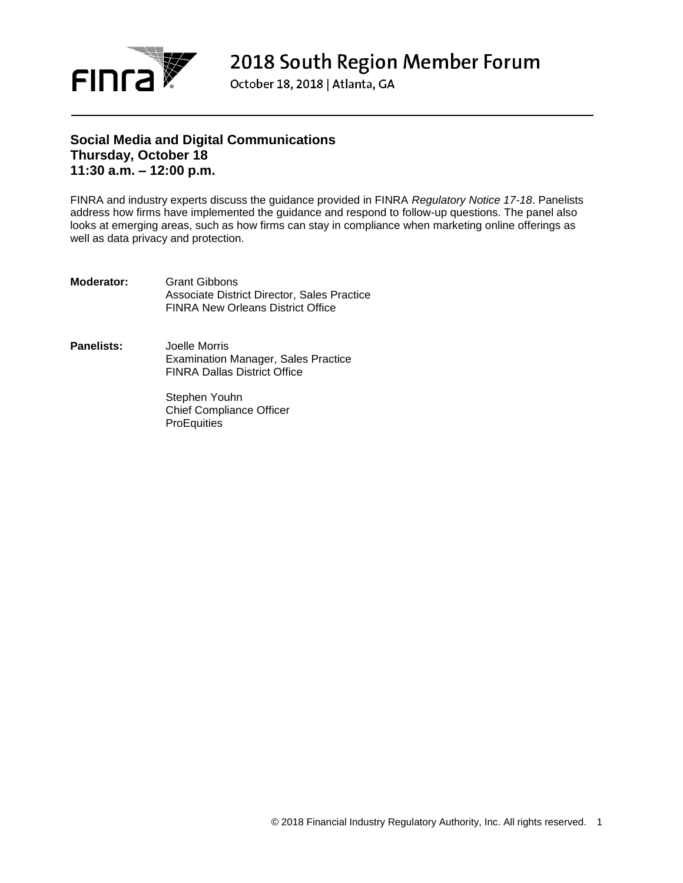

2018 South Region Member Forum

October 18, 2018 | Atlanta, GA

### **Social Media and Digital Communications Thursday, October 18 11:30 a.m. – 12:00 p.m.**

FINRA and industry experts discuss the guidance provided in FINRA *Regulatory Notice 17-18*. Panelists address how firms have implemented the guidance and respond to follow-up questions. The panel also looks at emerging areas, such as how firms can stay in compliance when marketing online offerings as well as data privacy and protection.

- **Moderator:** Grant Gibbons Associate District Director, Sales Practice FINRA New Orleans District Office
- **Panelists:** Joelle Morris Examination Manager, Sales Practice FINRA Dallas District Office

Stephen Youhn Chief Compliance Officer **ProEquities**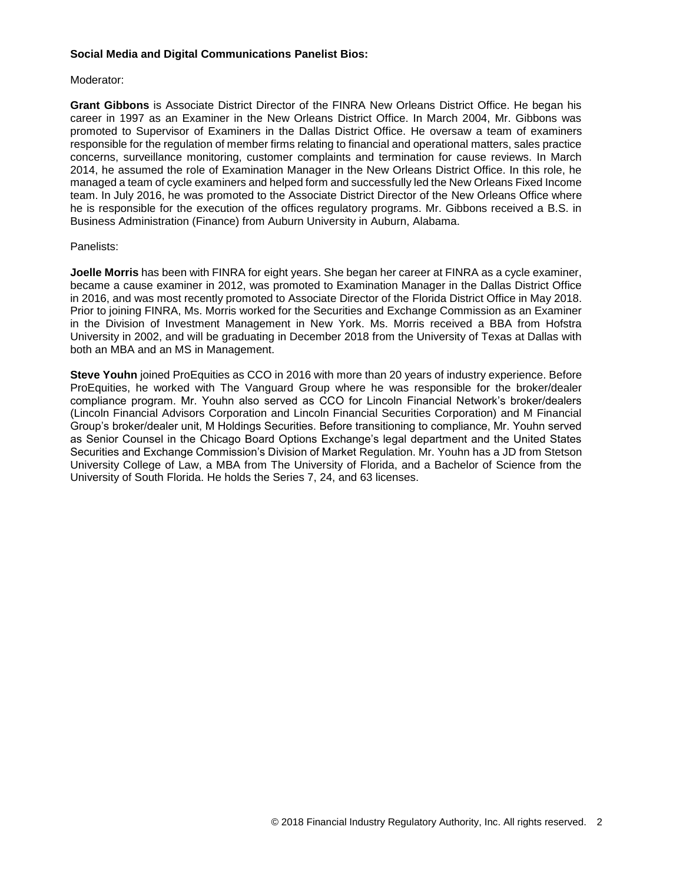### **Social Media and Digital Communications Panelist Bios:**

### Moderator:

**Grant Gibbons** is Associate District Director of the FINRA New Orleans District Office. He began his career in 1997 as an Examiner in the New Orleans District Office. In March 2004, Mr. Gibbons was promoted to Supervisor of Examiners in the Dallas District Office. He oversaw a team of examiners responsible for the regulation of member firms relating to financial and operational matters, sales practice concerns, surveillance monitoring, customer complaints and termination for cause reviews. In March 2014, he assumed the role of Examination Manager in the New Orleans District Office. In this role, he managed a team of cycle examiners and helped form and successfully led the New Orleans Fixed Income team. In July 2016, he was promoted to the Associate District Director of the New Orleans Office where he is responsible for the execution of the offices regulatory programs. Mr. Gibbons received a B.S. in Business Administration (Finance) from Auburn University in Auburn, Alabama.

### Panelists:

**Joelle Morris** has been with FINRA for eight years. She began her career at FINRA as a cycle examiner, became a cause examiner in 2012, was promoted to Examination Manager in the Dallas District Office in 2016, and was most recently promoted to Associate Director of the Florida District Office in May 2018. Prior to joining FINRA, Ms. Morris worked for the Securities and Exchange Commission as an Examiner in the Division of Investment Management in New York. Ms. Morris received a BBA from Hofstra University in 2002, and will be graduating in December 2018 from the University of Texas at Dallas with both an MBA and an MS in Management.

**Steve Youhn** joined ProEquities as CCO in 2016 with more than 20 years of industry experience. Before ProEquities, he worked with The Vanguard Group where he was responsible for the broker/dealer compliance program. Mr. Youhn also served as CCO for Lincoln Financial Network's broker/dealers (Lincoln Financial Advisors Corporation and Lincoln Financial Securities Corporation) and M Financial Group's broker/dealer unit, M Holdings Securities. Before transitioning to compliance, Mr. Youhn served as Senior Counsel in the Chicago Board Options Exchange's legal department and the United States Securities and Exchange Commission's Division of Market Regulation. Mr. Youhn has a JD from Stetson University College of Law, a MBA from The University of Florida, and a Bachelor of Science from the University of South Florida. He holds the Series 7, 24, and 63 licenses.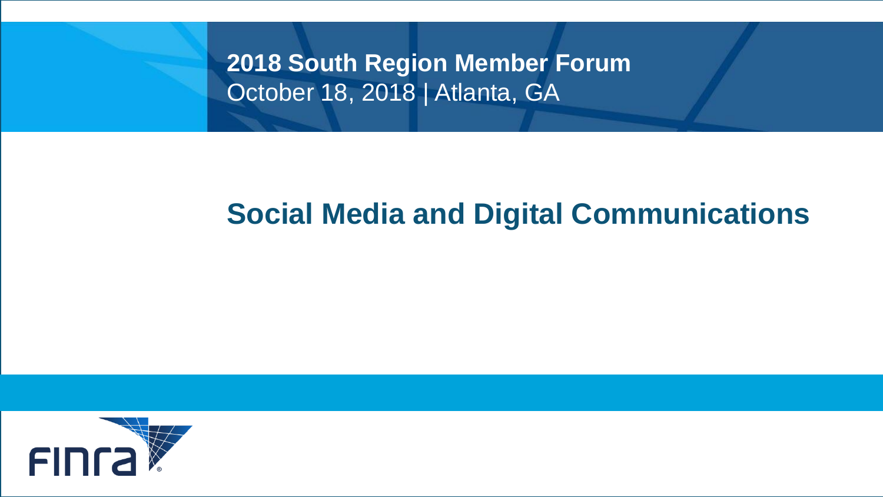**2018 South Region Member Forum** October 18, 2018 | Atlanta, GA

## **Social Media and Digital Communications**

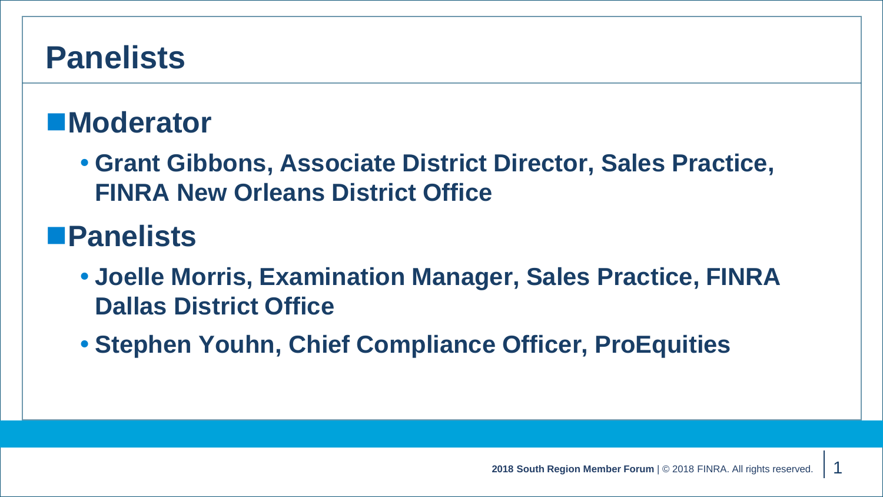## **Panelists**

## ■Moderator

 **Grant Gibbons, Associate District Director, Sales Practice, FINRA New Orleans District Office**

## **Panelists**

- **Joelle Morris, Examination Manager, Sales Practice, FINRA Dallas District Office**
- **Stephen Youhn, Chief Compliance Officer, ProEquities**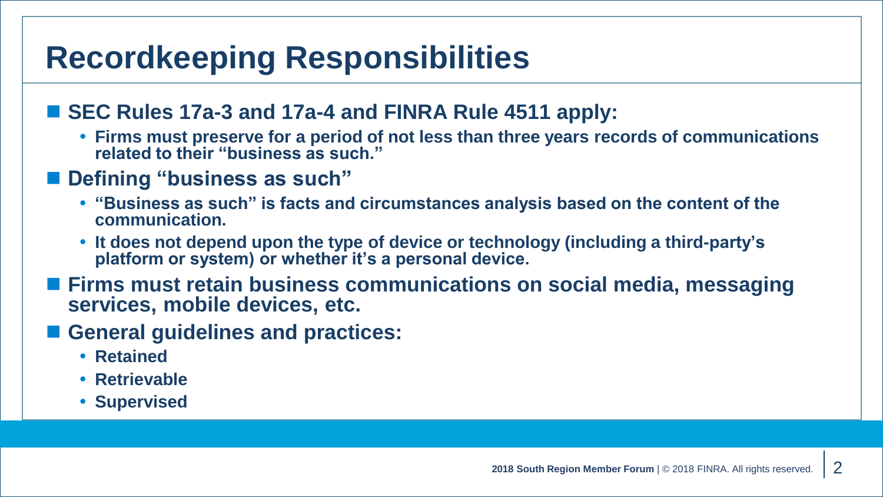# **Recordkeeping Responsibilities**

### **SEC Rules 17a-3 and 17a-4 and FINRA Rule 4511 apply:**

 **Firms must preserve for a period of not less than three years records of communications related to their "business as such."**

## ■ Defining "business as such"

- **"Business as such" is facts and circumstances analysis based on the content of the communication.**
- **It does not depend upon the type of device or technology (including a third-party's platform or system) or whether it's a personal device.**
- Firms must retain business communications on social media, messaging **services, mobile devices, etc.**
- General guidelines and practices:
	- **Retained**
	- **Retrievable**
	- **Supervised**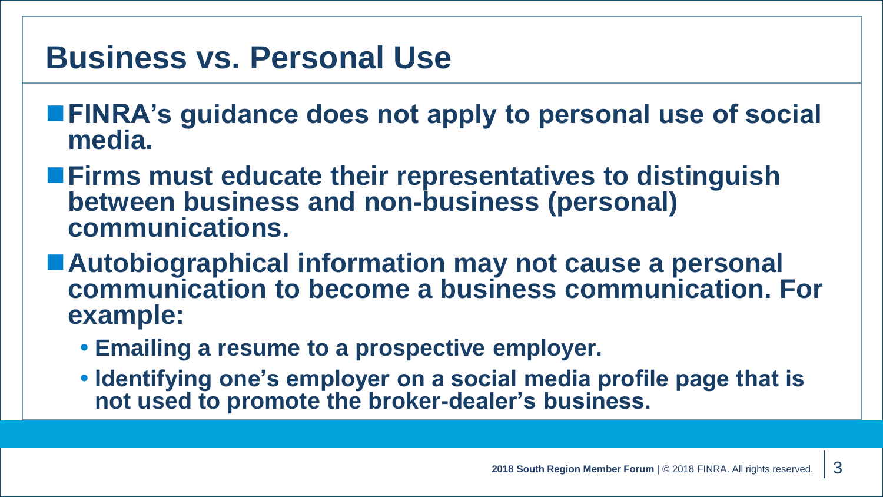## **Business vs. Personal Use**

- **FINRA's guidance does not apply to personal use of social media.**
- **Firms must educate their representatives to distinguish between business and non-business (personal) communications.**
- **Autobiographical information may not cause a personal communication to become a business communication. For example:**
	- **Emailing a resume to a prospective employer.**
	- **Identifying one's employer on a social media profile page that is not used to promote the broker-dealer's business.**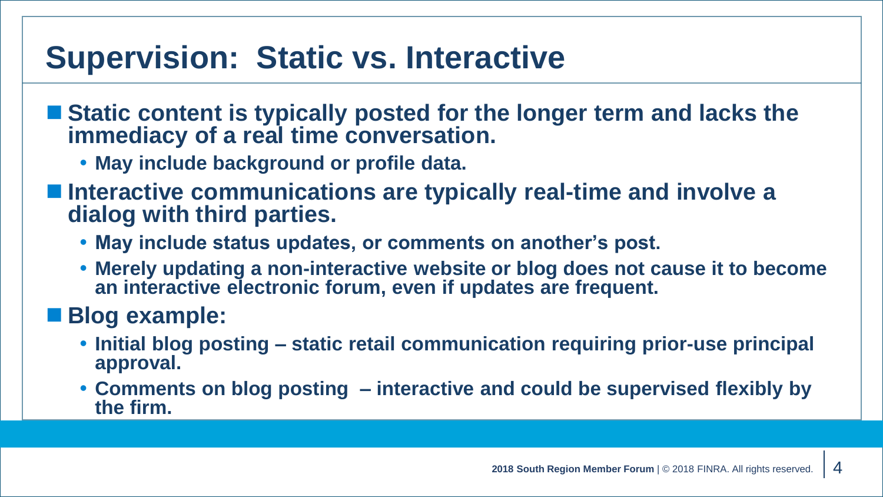# **Supervision: Static vs. Interactive**

- Static content is typically posted for the longer term and lacks the **immediacy of a real time conversation.**
	- **May include background or profile data.**
- Interactive communications are typically real-time and involve a **dialog with third parties.**
	- **May include status updates, or comments on another's post.**
	- **Merely updating a non-interactive website or blog does not cause it to become an interactive electronic forum, even if updates are frequent.**

## **Blog example:**

- **Initial blog posting – static retail communication requiring prior-use principal approval.**
- **Comments on blog posting – interactive and could be supervised flexibly by the firm.**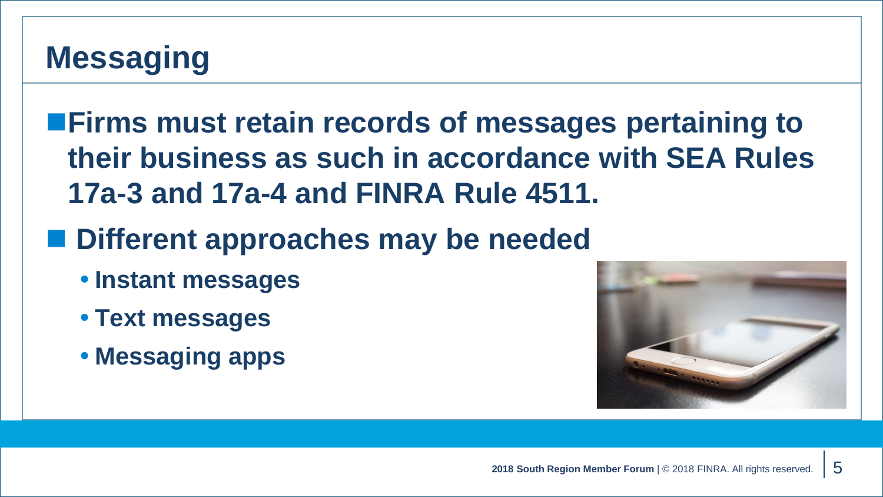# **Messaging**

**Firms must retain records of messages pertaining to their business as such in accordance with SEA Rules 17a-3 and 17a-4 and FINRA Rule 4511.**

- **Different approaches may be needed**
	- **Instant messages**
	- **Text messages**
	- **Messaging apps**

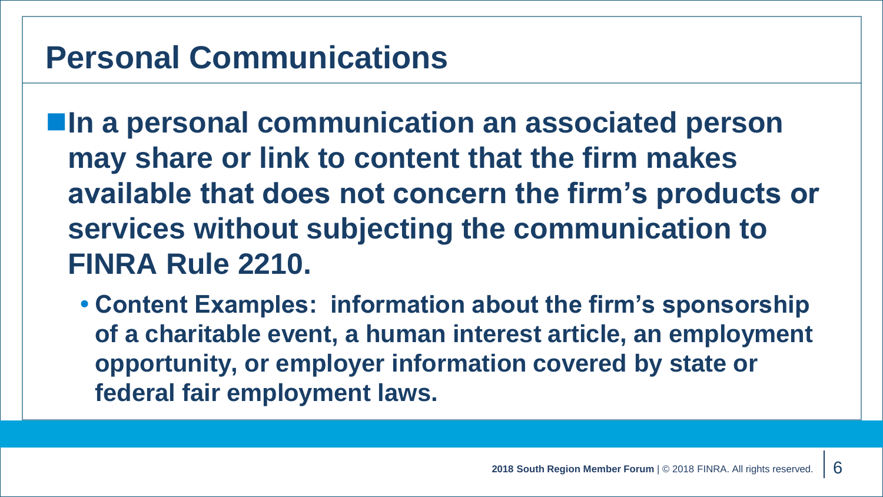## **Personal Communications**

 $\blacksquare$ **In a personal communication an associated person may share or link to content that the firm makes available that does not concern the firm's products or services without subjecting the communication to FINRA Rule 2210.**

 **Content Examples: information about the firm's sponsorship of a charitable event, a human interest article, an employment opportunity, or employer information covered by state or federal fair employment laws.**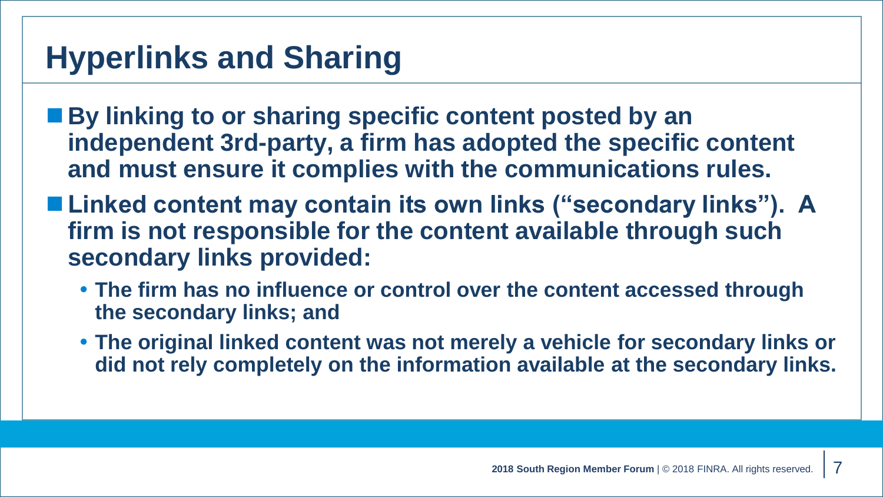# **Hyperlinks and Sharing**

- By linking to or sharing specific content posted by an **independent 3rd-party, a firm has adopted the specific content and must ensure it complies with the communications rules.**
- Linked content may contain its own links ("secondary links"). A **firm is not responsible for the content available through such secondary links provided:**
	- **The firm has no influence or control over the content accessed through the secondary links; and**
	- **The original linked content was not merely a vehicle for secondary links or did not rely completely on the information available at the secondary links.**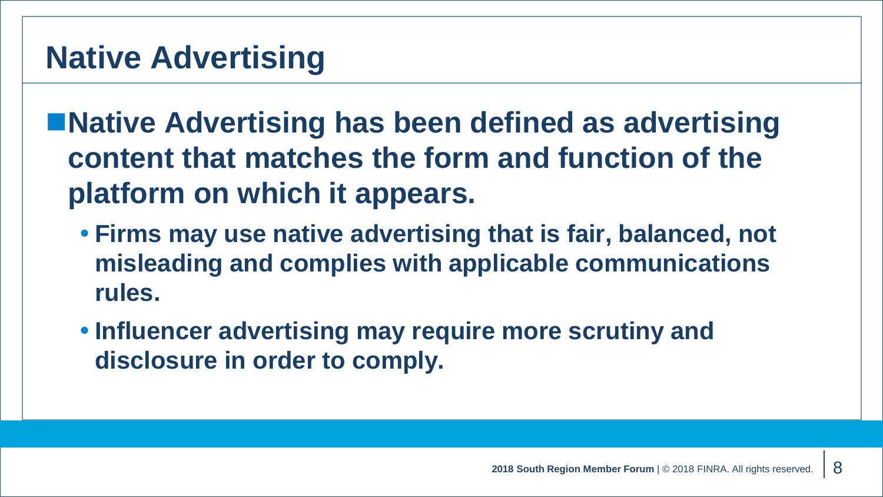■ Native Advertising has been defined as advertising **content that matches the form and function of the platform on which it appears.**

- **Firms may use native advertising that is fair, balanced, not misleading and complies with applicable communications rules.**
- **Influencer advertising may require more scrutiny and disclosure in order to comply.**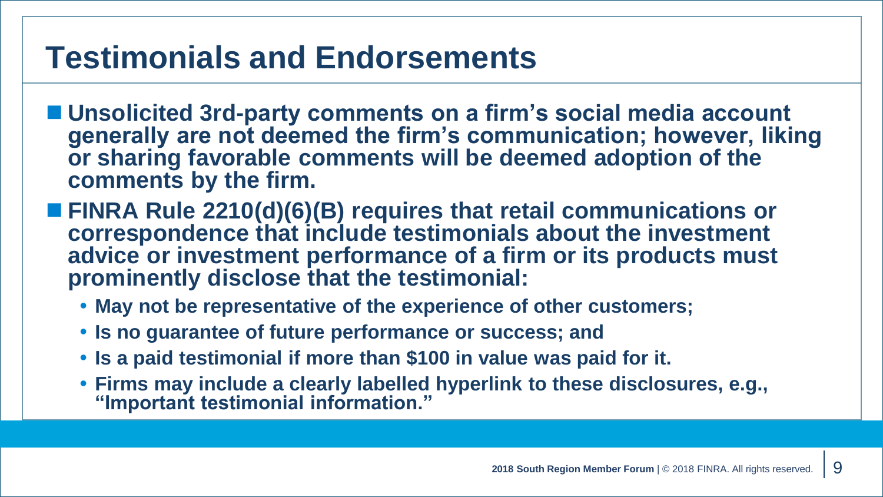# **Testimonials and Endorsements**

- Unsolicited 3rd-party comments on a firm's social media account **generally are not deemed the firm's communication; however, liking or sharing favorable comments will be deemed adoption of the comments by the firm.**
- FINRA Rule 2210(d)(6)(B) requires that retail communications or **correspondence that include testimonials about the investment advice or investment performance of a firm or its products must prominently disclose that the testimonial:**
	- **May not be representative of the experience of other customers;**
	- **Is no guarantee of future performance or success; and**
	- **Is a paid testimonial if more than \$100 in value was paid for it.**
	- **Firms may include a clearly labelled hyperlink to these disclosures, e.g., "Important testimonial information."**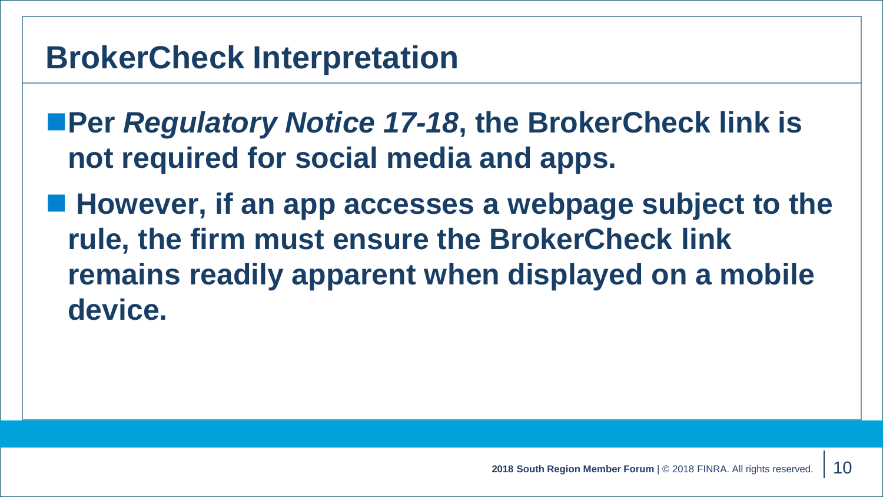## **BrokerCheck Interpretation**

- ■Per *Regulatory Notice 17-18*, the BrokerCheck link is **not required for social media and apps.**
- However, if an app accesses a webpage subject to the **rule, the firm must ensure the BrokerCheck link remains readily apparent when displayed on a mobile device.**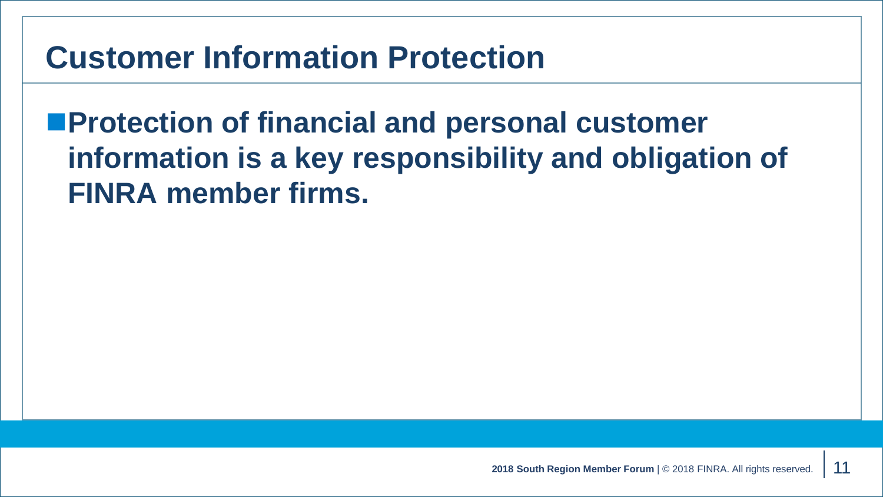# **Customer Information Protection**

**Protection of financial and personal customer information is a key responsibility and obligation of FINRA member firms.**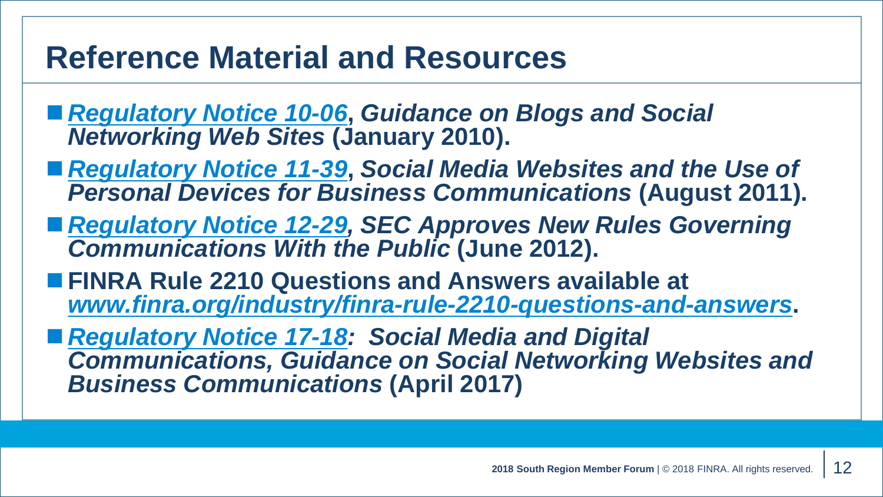## **Reference Material and Resources**

- *[Regulatory Notice 10-06](http://www.finra.org/sites/default/files/NoticeDocument/p120779.pdf)***,** *Guidance on Blogs and Social Networking Web Sites* **(January 2010).**
- [Regulatory Notice 11-39](https://www.finra.org/sites/default/files/NoticeDocument/p124186.pdf), Social Media Websites and the Use of *Personal Devices for Business Communications* **(August 2011).**
- **[Regulatory Notice 12-29](http://www.finra.org/sites/default/files/NoticeDocument/p127014.pdf), SEC Approves New Rules Governing** *Communications With the Public* **(June 2012).**
- FINRA Rule 2210 Questions and Answers available at *[www.finra.org/industry/finra-rule-2210-questions-and-answers](http://www.finra.org/industry/finra-rule-2210-questions-and-answers)***.**
- *[Regulatory Notice 17-18:](http://www.finra.org/sites/default/files/notice_doc_file_ref/Regulatory-Notice-17-18.pdf) Social Media and Digital Communications, Guidance on Social Networking Websites and Business Communications* **(April 2017)**